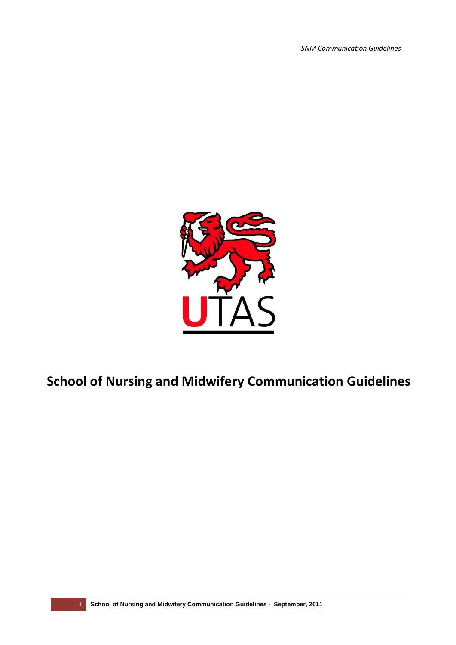*SNM Communication Guidelines*



# **School of Nursing and Midwifery Communication Guidelines**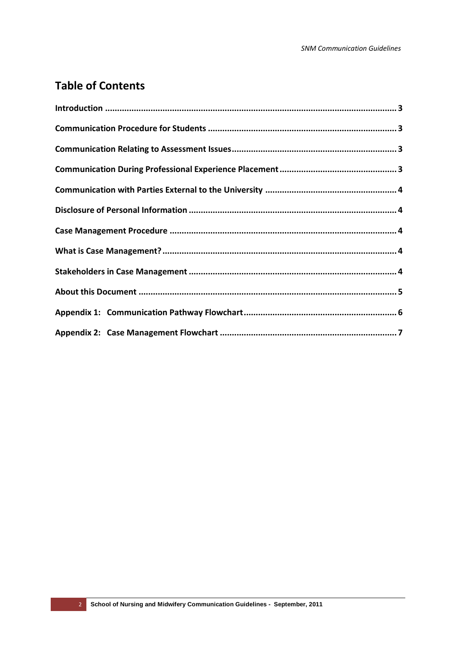## **Table of Contents**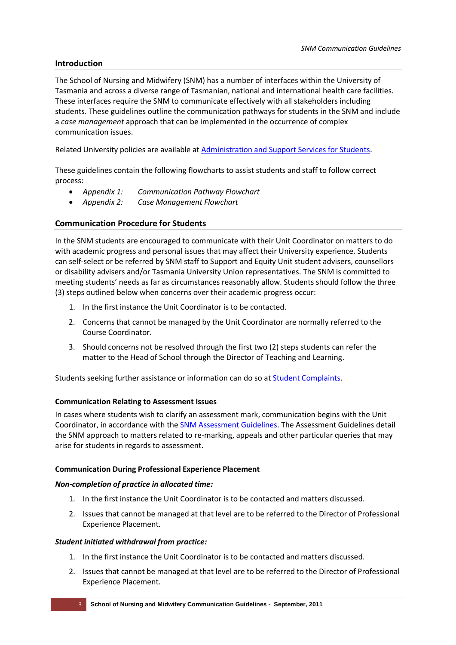## <span id="page-2-0"></span>**Introduction**

The School of Nursing and Midwifery (SNM) has a number of interfaces within the University of Tasmania and across a diverse range of Tasmanian, national and international health care facilities. These interfaces require the SNM to communicate effectively with all stakeholders including students. These guidelines outline the communication pathways for students in the SNM and include a *case management* approach that can be implemented in the occurrence of complex communication issues.

Related University policies are available at [Administration and Support Services for Students.](http://www.utas.edu.au/compliance/admin_support_students.html)

These guidelines contain the following flowcharts to assist students and staff to follow correct process:

- *Appendix 1: Communication Pathway Flowchart*
- *Appendix 2: Case Management Flowchart*

## <span id="page-2-1"></span>**Communication Procedure for Students**

In the SNM students are encouraged to communicate with their Unit Coordinator on matters to do with academic progress and personal issues that may affect their University experience. Students can self-select or be referred by SNM staff to Support and Equity Unit student advisers, counsellors or disability advisers and/or Tasmania University Union representatives. The SNM is committed to meeting students' needs as far as circumstances reasonably allow. Students should follow the three (3) steps outlined below when concerns over their academic progress occur:

- 1. In the first instance the Unit Coordinator is to be contacted.
- 2. Concerns that cannot be managed by the Unit Coordinator are normally referred to the Course Coordinator.
- 3. Should concerns not be resolved through the first two (2) steps students can refer the matter to the Head of School through the Director of Teaching and Learning.

Students seeking further assistance or information can do so at [Student Complaints.](http://www.utas.edu.au/governance-legal/student-complaints)

#### <span id="page-2-2"></span>**Communication Relating to Assessment Issues**

In cases where students wish to clarify an assessment mark, communication begins with the Unit Coordinator, in accordance with the [SNM Assessment Guidelines.](http://www.utas.edu.au/nursing-midwifery/about-snm/policies-and-guidelines) The Assessment Guidelines detail the SNM approach to matters related to re-marking, appeals and other particular queries that may arise for students in regards to assessment.

#### <span id="page-2-3"></span>**Communication During Professional Experience Placement**

#### *Non-completion of practice in allocated time:*

- 1. In the first instance the Unit Coordinator is to be contacted and matters discussed.
- 2. Issues that cannot be managed at that level are to be referred to the Director of Professional Experience Placement.

#### *Student initiated withdrawal from practice:*

- 1. In the first instance the Unit Coordinator is to be contacted and matters discussed.
- 2. Issues that cannot be managed at that level are to be referred to the Director of Professional Experience Placement.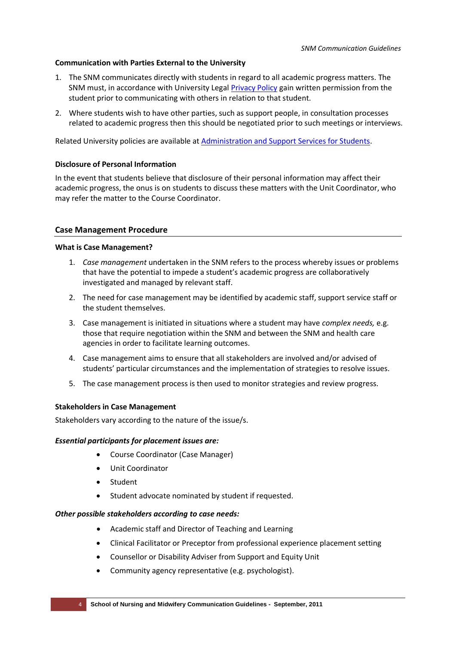#### <span id="page-3-0"></span>**Communication with Parties External to the University**

- 1. The SNM communicates directly with students in regard to all academic progress matters. The SNM must, in accordance with University Lega[l Privacy Policy](http://www.utas.edu.au/governance-legal/policy/policies,-procedures,-guidelines--and--standards) gain written permission from the student prior to communicating with others in relation to that student.
- 2. Where students wish to have other parties, such as support people, in consultation processes related to academic progress then this should be negotiated prior to such meetings or interviews.

Related University policies are available at [Administration and Support Services for Students.](http://www.utas.edu.au/compliance/admin_support_students.html)

#### <span id="page-3-1"></span>**Disclosure of Personal Information**

In the event that students believe that disclosure of their personal information may affect their academic progress, the onus is on students to discuss these matters with the Unit Coordinator, who may refer the matter to the Course Coordinator.

## <span id="page-3-2"></span>**Case Management Procedure**

#### <span id="page-3-3"></span>**What is Case Management?**

- 1. *Case management* undertaken in the SNM refers to the process whereby issues or problems that have the potential to impede a student's academic progress are collaboratively investigated and managed by relevant staff.
- 2. The need for case management may be identified by academic staff, support service staff or the student themselves.
- 3. Case management is initiated in situations where a student may have *complex needs,* e.g. those that require negotiation within the SNM and between the SNM and health care agencies in order to facilitate learning outcomes.
- 4. Case management aims to ensure that all stakeholders are involved and/or advised of students' particular circumstances and the implementation of strategies to resolve issues.
- 5. The case management process is then used to monitor strategies and review progress.

#### <span id="page-3-4"></span>**Stakeholders in Case Management**

Stakeholders vary according to the nature of the issue/s.

#### *Essential participants for placement issues are:*

- Course Coordinator (Case Manager)
- Unit Coordinator
- Student
- Student advocate nominated by student if requested.

#### *Other possible stakeholders according to case needs:*

- Academic staff and Director of Teaching and Learning
- Clinical Facilitator or Preceptor from professional experience placement setting
- Counsellor or Disability Adviser from Support and Equity Unit
- Community agency representative (e.g. psychologist).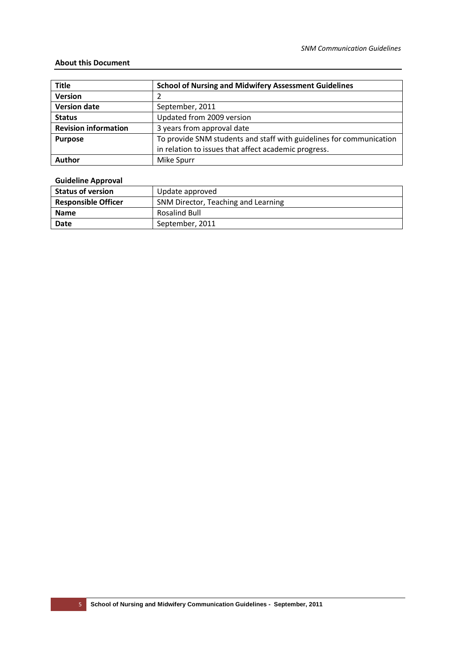#### <span id="page-4-0"></span>**About this Document**

| <b>Title</b>                | <b>School of Nursing and Midwifery Assessment Guidelines</b>        |
|-----------------------------|---------------------------------------------------------------------|
| <b>Version</b>              |                                                                     |
| <b>Version date</b>         | September, 2011                                                     |
| <b>Status</b>               | Updated from 2009 version                                           |
| <b>Revision information</b> | 3 years from approval date                                          |
| <b>Purpose</b>              | To provide SNM students and staff with guidelines for communication |
|                             | in relation to issues that affect academic progress.                |
| Author                      | <b>Mike Spurr</b>                                                   |

## **Guideline Approval**

| <b>Status of version</b>   | Update approved                     |
|----------------------------|-------------------------------------|
| <b>Responsible Officer</b> | SNM Director, Teaching and Learning |
| <b>Name</b>                | <b>Rosalind Bull</b>                |
| Date                       | September, 2011                     |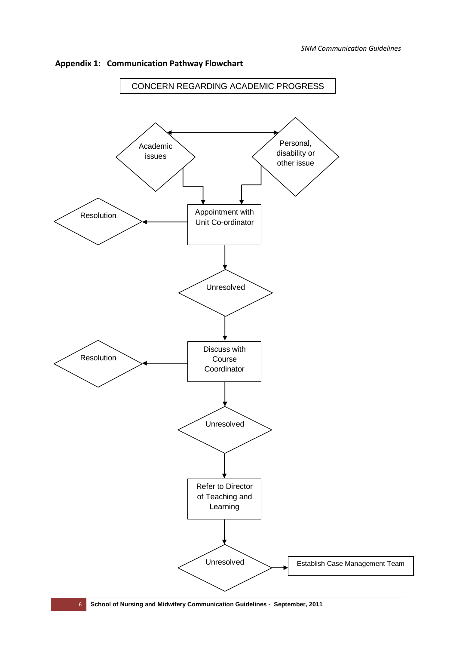

<span id="page-5-0"></span>